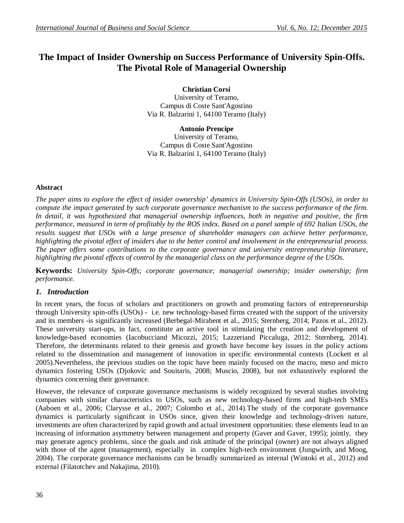# **The Impact of Insider Ownership on Success Performance of University Spin-Offs. The Pivotal Role of Managerial Ownership**

**Christian Corsi** University of Teramo, Campus di Coste Sant'Agostino Via R. Balzarini 1, 64100 Teramo (Italy)

**Antonio Prencipe**  University of Teramo, Campus di Coste Sant'Agostino Via R. Balzarini 1, 64100 Teramo (Italy)

#### **Abstract**

*The paper aims to explore the effect of insider ownership' dynamics in University Spin-Offs (USOs), in order to compute the impact generated by such corporate governance mechanism to the success performance of the firm. In detail, it was hypothesized that managerial ownership influences, both in negative and positive, the firm performance, measured in term of profitably by the ROS index. Based on a panel sample of 692 Italian USOs, the results suggest that USOs with a large presence of shareholder managers can achieve better performance, highlighting the pivotal effect of insiders due to the better control and involvement in the entrepreneurial process. The paper offers some contributions to the corporate governance and university entrepreneurship literature, highlighting the pivotal effects of control by the managerial class on the performance degree of the USOs.*

**Keywords:** *University Spin-Offs; corporate governance; managerial ownership; insider ownership; firm performance.*

#### *1. Introduction*

In recent years, the focus of scholars and practitioners on growth and promoting factors of entrepreneurship through University spin-offs (USOs) - i.e. new technology-based firms created with the support of the university and its members -is significantly increased (Berbegal-Mirabent et al., 2015; Sternberg, 2014; Pazos et al., 2012). These university start-ups, in fact, constitute an active tool in stimulating the creation and development of knowledge-based economies (Iacobucciand Micozzi, 2015; Lazzeriand Piccaluga, 2012; Sternberg, 2014). Therefore, the determinants related to their genesis and growth have become key issues in the policy actions related to the dissemination and management of innovation in specific environmental contexts (Lockett et al 2005).Nevertheless, the previous studies on the topic have been mainly focused on the macro, meso and micro dynamics fostering USOs (Djokovic and Souitaris, 2008; Muscio, 2008), but not exhaustively explored the dynamics concerning their governance.

However, the relevance of corporate governance mechanisms is widely recognized by several studies involving companies with similar characteristics to USOs, such as new technology-based firms and high-tech SMEs (Aaboen et al., 2006; Clarysse et al., 2007; Colombo et al., 2014).The study of the corporate governance dynamics is particularly significant in USOs since, given their knowledge and technology-driven nature, investments are often characterized by rapid growth and actual investment opportunities: these elements lead to an increasing of information asymmetry between management and property (Gaver and Gaver, 1995); jointly, they may generate agency problems, since the goals and risk attitude of the principal (owner) are not always aligned with those of the agent (management), especially in complex high-tech environment (Jungwirth, and Moog, 2004). The corporate governance mechanisms can be broadly summarized as internal (Wintoki et al., 2012) and external (Filatotchev and Nakajima, 2010).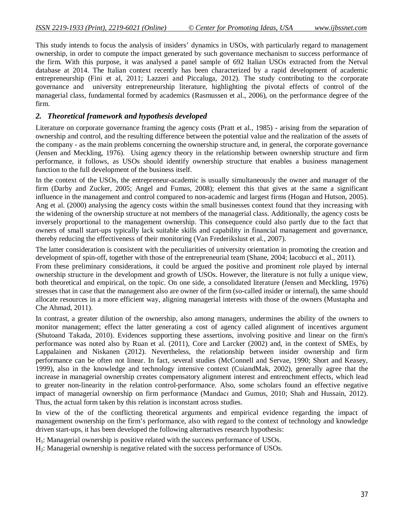This study intends to focus the analysis of insiders' dynamics in USOs, with particularly regard to management ownership, in order to compute the impact generated by such governance mechanism to success performance of the firm. With this purpose, it was analysed a panel sample of 692 Italian USOs extracted from the Netval database at 2014. The Italian context recently has been characterized by a rapid development of academic entrepreneurship (Fini et al, 2011; Lazzeri and Piccaluga, 2012). The study contributing to the corporate governance and university entrepreneurship literature, highlighting the pivotal effects of control of the managerial class, fundamental formed by academics (Rasmussen et al., 2006), on the performance degree of the firm.

## *2. Theoretical framework and hypothesis developed*

Literature on corporate governance framing the agency costs (Pratt et al., 1985) - arising from the separation of ownership and control, and the resulting difference between the potential value and the realization of the assets of the company - as the main problems concerning the ownership structure and, in general, the corporate governance (Jensen and Meckling, 1976). Using agency theory in the relationship between ownership structure and firm performance, it follows, as USOs should identify ownership structure that enables a business management function to the full development of the business itself.

In the context of the USOs, the entrepreneur-academic is usually simultaneously the owner and manager of the firm (Darby and Zucker, 2005; Angel and Fumas, 2008); element this that gives at the same a significant influence in the management and control compared to non-academic and largest firms (Hogan and Hutson, 2005). Ang et al. (2000) analysing the agency costs within the small businesses context found that they increasing with the widening of the ownership structure at not members of the managerial class. Additionally, the agency costs be inversely proportional to the management ownership. This consequence could also partly due to the fact that owners of small start-ups typically lack suitable skills and capability in financial management and governance, thereby reducing the effectiveness of their monitoring (Van Frederikslust et al., 2007).

The latter consideration is consistent with the peculiarities of university orientation in promoting the creation and development of spin-off, together with those of the entrepreneurial team (Shane, 2004; Iacobucci et al., 2011).

From these preliminary considerations, it could be argued the positive and prominent role played by internal ownership structure in the development and growth of USOs. However, the literature is not fully a unique view, both theoretical and empirical, on the topic. On one side, a consolidated literature (Jensen and Meckling, 1976) stresses that in case that the management also are owner of the firm (so-called insider or internal), the same should allocate resources in a more efficient way, aligning managerial interests with those of the owners (Mustapha and Che Ahmad, 2011).

In contrast, a greater dilution of the ownership, also among managers, undermines the ability of the owners to monitor management; effect the latter generating a cost of agency called alignment of incentives argument (Shutoand Takada, 2010). Evidences supporting these assertions, involving positive and linear on the firm's performance was noted also by Ruan et al. (2011), Core and Larcker (2002) and, in the context of SMEs, by Lappalainen and Niskanen (2012). Nevertheless, the relationship between insider ownership and firm performance can be often not linear. In fact, several studies (McConnell and Servae, 1990; Short and Keasey, 1999), also in the knowledge and technology intensive context (CuiandMak, 2002), generally agree that the increase in managerial ownership creates compensatory alignment interest and entrenchment effects, which lead to greater non-linearity in the relation control-performance. Also, some scholars found an effective negative impact of managerial ownership on firm performance (Mandacı and Gumus, 2010; Shah and Hussain, 2012). Thus, the actual form taken by this relation is inconstant across studies.

In view of the of the conflicting theoretical arguments and empirical evidence regarding the impact of management ownership on the firm's performance, also with regard to the context of technology and knowledge driven start-ups, it has been developed the following alternatives research hypothesis:

H<sub>1</sub>: Managerial ownership is positive related with the success performance of USOs.

H2: Managerial ownership is negative related with the success performance of USOs.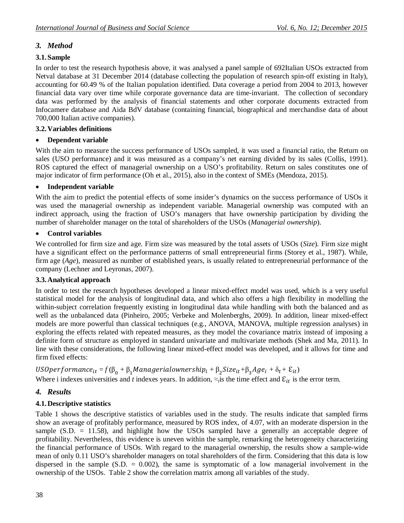# *3. Method*

## **3.1.Sample**

In order to test the research hypothesis above, it was analysed a panel sample of 692Italian USOs extracted from Netval database at 31 December 2014 (database collecting the population of research spin-off existing in Italy), accounting for 60.49 % of the Italian population identified. Data coverage a period from 2004 to 2013, however financial data vary over time while corporate governance data are time-invariant. The collection of secondary data was performed by the analysis of financial statements and other corporate documents extracted from Infocamere database and Aida BdV database (containing financial, biographical and merchandise data of about 700,000 Italian active companies).

### **3.2.Variables definitions**

## **Dependent variable**

With the aim to measure the success performance of USOs sampled, it was used a financial ratio, the Return on sales (USO performance) and it was measured as a company's net earning divided by its sales (Collis, 1991). ROS captured the effect of managerial ownership on a USO's profitability. Return on sales constitutes one of major indicator of firm performance (Oh et al., 2015), also in the context of SMEs (Mendoza, 2015).

## **Independent variable**

With the aim to predict the potential effects of some insider's dynamics on the success performance of USOs it was used the managerial ownership as independent variable. Managerial ownership was computed with an indirect approach, using the fraction of USO's managers that have ownership participation by dividing the number of shareholder manager on the total of shareholders of the USOs (*Managerial ownership*).

### **Control variables**

We controlled for firm size and age. Firm size was measured by the total assets of USOs (*Size*). Firm size might have a significant effect on the performance patterns of small entrepreneurial firms (Storey et al., 1987). While, firm age (*Age*), measured as number of established years, is usually related to entrepreneurial performance of the company (Lechner and Leyronas, 2007).

### **3.3.Analytical approach**

In order to test the research hypotheses developed a linear mixed-effect model was used, which is a very useful statistical model for the analysis of longitudinal data, and which also offers a high flexibility in modelling the within-subject correlation frequently existing in longitudinal data while handling with both the balanced and as well as the unbalanced data (Pinheiro, 2005; Verbeke and Molenberghs, 2009). In addition, linear mixed-effect models are more powerful than classical techniques (e.g., ANOVA, MANOVA, multiple regression analyses) in exploring the effects related with repeated measures, as they model the covariance matrix instead of imposing a definite form of structure as employed in standard univariate and multivariate methods (Shek and Ma, 2011). In line with these considerations, the following linear mixed-effect model was developed, and it allows for time and firm fixed effects:

 $USOperformance_{it} = f(\beta_0 + \beta_1 \textit{Management}{} downership_i + \beta_2 \textit{Size}_{it} + \beta_3 \textit{Age}_i + \delta_t + \mathcal{E}_{it})$ 

Where i indexes universities and *t* indexes years. In addition,  $\approx$ <sub>*i*</sub> is the effect and  $\mathcal{E}_{it}$  is the error term.

# *4. Results*

## **4.1.Descriptive statistics**

Table 1 shows the descriptive statistics of variables used in the study. The results indicate that sampled firms show an average of profitably performance, measured by ROS index, of 4.07, with an moderate dispersion in the sample  $(S.D. = 11.58)$ , and highlight how the USOs sampled have a generally an acceptable degree of profitability. Nevertheless, this evidence is uneven within the sample, remarking the heterogeneity characterizing the financial performance of USOs. With regard to the managerial ownership, the results show a sample-wide mean of only 0.11 USO's shareholder managers on total shareholders of the firm. Considering that this data is low dispersed in the sample  $(S.D. = 0.002)$ , the same is symptomatic of a low managerial involvement in the ownership of the USOs. Table 2 show the correlation matrix among all variables of the study.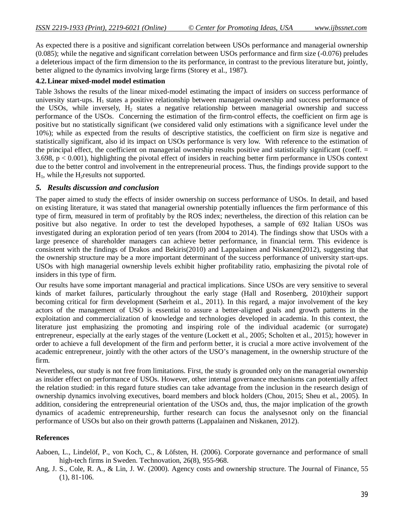As expected there is a positive and significant correlation between USOs performance and managerial ownership (0.085); while the negative and significant correlation between USOs performance and firm size (-0.076) preludes a deleterious impact of the firm dimension to the its performance, in contrast to the previous literature but, jointly, better aligned to the dynamics involving large firms (Storey et al., 1987).

#### **4.2.Linear mixed-model model estimation**

Table 3shows the results of the linear mixed-model estimating the impact of insiders on success performance of university start-ups.  $H_1$  states a positive relationship between managerial ownership and success performance of the USOs, while inversely,  $H_2$  states a negative relationship between managerial ownership and success performance of the USOs. Concerning the estimation of the firm-control effects, the coefficient on firm age is positive but no statistically significant (we considered valid only estimations with a significance level under the 10%); while as expected from the results of descriptive statistics, the coefficient on firm size is negative and statistically significant, also id its impact on USOs performance is very low. With reference to the estimation of the principal effect, the coefficient on managerial ownership results positive and statistically significant (coeff.  $=$ 3.698, p < 0.001), highlighting the pivotal effect of insiders in reaching better firm performance in USOs context due to the better control and involvement in the entrepreneurial process. Thus, the findings provide support to the  $H<sub>1</sub>$ , while the H<sub>2</sub>results not supported.

#### *5. Results discussion and conclusion*

The paper aimed to study the effects of insider ownership on success performance of USOs. In detail, and based on existing literature, it was stated that managerial ownership potentially influences the firm performance of this type of firm, measured in term of profitably by the ROS index; nevertheless, the direction of this relation can be positive but also negative. In order to test the developed hypotheses, a sample of 692 Italian USOs was investigated during an exploration period of ten years (from 2004 to 2014). The findings show that USOs with a large presence of shareholder managers can achieve better performance, in financial term. This evidence is consistent with the findings of Drakos and Bekiris(2010) and Lappalainen and Niskanen(2012), suggesting that the ownership structure may be a more important determinant of the success performance of university start-ups. USOs with high managerial ownership levels exhibit higher profitability ratio, emphasizing the pivotal role of insiders in this type of firm.

Our results have some important managerial and practical implications. Since USOs are very sensitive to several kinds of market failures, particularly throughout the early stage (Hall and Rosenberg, 2010)their support becoming critical for firm development (Sørheim et al., 2011). In this regard, a major involvement of the key actors of the management of USO is essential to assure a better-aligned goals and growth patterns in the exploitation and commercialization of knowledge and technologies developed in academia. In this context, the literature just emphasizing the promoting and inspiring role of the individual academic (or surrogate) entrepreneur, especially at the early stages of the venture (Lockett et al., 2005; Scholten et al., 2015); however in order to achieve a full development of the firm and perform better, it is crucial a more active involvement of the academic entrepreneur, jointly with the other actors of the USO's management, in the ownership structure of the firm.

Nevertheless, our study is not free from limitations. First, the study is grounded only on the managerial ownership as insider effect on performance of USOs. However, other internal governance mechanisms can potentially affect the relation studied: in this regard future studies can take advantage from the inclusion in the research design of ownership dynamics involving executives, board members and block holders (Chou, 2015; Sheu et al., 2005). In addition, considering the entrepreneurial orientation of the USOs and, thus, the major implication of the growth dynamics of academic entrepreneurship, further research can focus the analysesnot only on the financial performance of USOs but also on their growth patterns (Lappalainen and Niskanen, 2012).

#### **References**

Aaboen, L., Lindelöf, P., von Koch, C., & Löfsten, H. (2006). Corporate governance and performance of small high-tech firms in Sweden. Technovation, 26(8), 955-968.

Ang, J. S., Cole, R. A., & Lin, J. W. (2000). Agency costs and ownership structure. The Journal of Finance, 55 (1), 81-106.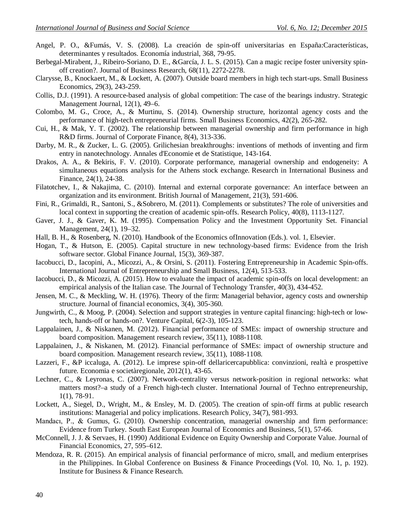- Angel, P. O., &Fumás, V. S. (2008). La creación de spin-off universitarias en España:Características, determinantes y resultados. Economía industrial, 368, 79-95.
- Berbegal-Mirabent, J., Ribeiro-Soriano, D. E., &García, J. L. S. (2015). Can a magic recipe foster university spinoff creation?. Journal of Business Research, 68(11), 2272-2278.
- Clarysse, B., Knockaert, M., & Lockett, A. (2007). Outside board members in high tech start-ups. Small Business Economics, 29(3), 243-259.
- Collis, D.J. (1991). A resource-based analysis of global competition: The case of the bearings industry. Strategic Management Journal, 12(1), 49–6.
- Colombo, M. G., Croce, A., & Murtinu, S. (2014). Ownership structure, horizontal agency costs and the performance of high-tech entrepreneurial firms. Small Business Economics, 42(2), 265-282.
- Cui, H., & Mak, Y. T. (2002). The relationship between managerial ownership and firm performance in high R&D firms. Journal of Corporate Finance, 8(4), 313-336.
- Darby, M. R., & Zucker, L. G. (2005). Grilichesian breakthroughs: inventions of methods of inventing and firm entry in nanotechnology. Annales d'Economie et de Statistique, 143-164.
- Drakos, A. A., & Bekiris, F. V. (2010). Corporate performance, managerial ownership and endogeneity: A simultaneous equations analysis for the Athens stock exchange. Research in International Business and Finance, 24(1), 24-38.
- Filatotchev, I., & Nakajima, C. (2010). Internal and external corporate governance: An interface between an organization and its environment. British Journal of Management, 21(3), 591-606.
- Fini, R., Grimaldi, R., Santoni, S., &Sobrero, M. (2011). Complements or substitutes? The role of universities and local context in supporting the creation of academic spin-offs. Research Policy, 40(8), 1113-1127.
- Gaver, J. J., & Gaver, K. M. (1995). Compensation Policy and the Investment Opportunity Set. Financial Management, 24(1), 19–32.
- Hall, B. H., & Rosenberg, N. (2010). Handbook of the Economics ofInnovation (Eds.). vol. 1, Elsevier.
- Hogan, T., & Hutson, E. (2005). Capital structure in new technology-based firms: Evidence from the Irish software sector. Global Finance Journal, 15(3), 369-387.
- Iacobucci, D., Iacopini, A., Micozzi, A., & Orsini, S. (2011). Fostering Entrepreneurship in Academic Spin-offs. International Journal of Entrepreneurship and Small Business, 12(4), 513-533.
- Iacobucci, D., & Micozzi, A. (2015). How to evaluate the impact of academic spin-offs on local development: an empirical analysis of the Italian case. The Journal of Technology Transfer, 40(3), 434-452.
- Jensen, M. C., & Meckling, W. H. (1976). Theory of the firm: Managerial behavior, agency costs and ownership structure. Journal of financial economics, 3(4), 305-360.
- Jungwirth, C., & Moog, P. (2004). Selection and support strategies in venture capital financing: high-tech or lowtech, hands-off or hands-on?. Venture Capital, 6(2-3), 105-123.
- Lappalainen, J., & Niskanen, M. (2012). Financial performance of SMEs: impact of ownership structure and board composition. Management research review, 35(11), 1088-1108.
- Lappalainen, J., & Niskanen, M. (2012). Financial performance of SMEs: impact of ownership structure and board composition. Management research review, 35(11), 1088-1108.
- Lazzeri, F., &P iccaluga, A. (2012). Le imprese spin-off dellaricercapubblica: convinzioni, realtà e prospettive future. Economia e societàregionale, 2012(1), 43-65.
- Lechner, C., & Leyronas, C. (2007). Network-centrality versus network-position in regional networks: what matters most?–a study of a French high-tech cluster. International Journal of Techno entrepreneurship, 1(1), 78-91.
- Lockett, A., Siegel, D., Wright, M., & Ensley, M. D. (2005). The creation of spin-off firms at public research institutions: Managerial and policy implications. Research Policy, 34(7), 981-993.
- Mandacı, P., & Gumus, G. (2010). Ownership concentration, managerial ownership and firm performance: Evidence from Turkey. South East European Journal of Economics and Business, 5(1), 57-66.
- McConnell, J. J. & Servaes, H. (1990) Additional Evidence on Equity Ownership and Corporate Value. Journal of Financial Economics, 27, 595–612.
- Mendoza, R. R. (2015). An empirical analysis of financial performance of micro, small, and medium enterprises in the Philippines. In Global Conference on Business & Finance Proceedings (Vol. 10, No. 1, p. 192). Institute for Business & Finance Research.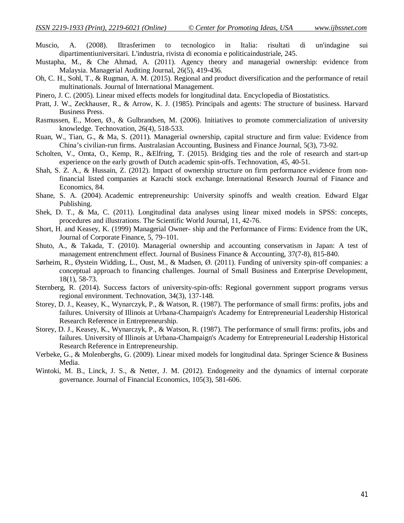- Muscio, A. (2008). Iltrasferimen to tecnologico in Italia: risultati di un'indagine sui dipartimentiuniversitari. L'industria, rivista di economia e politicaindustriale, 245.
- Mustapha, M., & Che Ahmad, A. (2011). Agency theory and managerial ownership: evidence from Malaysia. Managerial Auditing Journal, 26(5), 419-436.
- Oh, C. H., Sohl, T., & Rugman, A. M. (2015). Regional and product diversification and the performance of retail multinationals. Journal of International Management.
- Pinero, J. C. (2005). Linear mixed effects models for longitudinal data. Encyclopedia of Biostatistics.
- Pratt, J. W., Zeckhauser, R., & Arrow, K. J. (1985). Principals and agents: The structure of business. Harvard Business Press.
- Rasmussen, E., Moen, Ø., & Gulbrandsen, M. (2006). Initiatives to promote commercialization of university knowledge. Technovation, 26(4), 518-533.
- Ruan, W., Tian, G., & Ma, S. (2011). Managerial ownership, capital structure and firm value: Evidence from China's civilian-run firms. Australasian Accounting, Business and Finance Journal, 5(3), 73-92.
- Scholten, V., Omta, O., Kemp, R., &Elfring, T. (2015). Bridging ties and the role of research and start-up experience on the early growth of Dutch academic spin-offs. Technovation, 45, 40-51.
- Shah, S. Z. A., & Hussain, Z. (2012). Impact of ownership structure on firm performance evidence from nonfinancial listed companies at Karachi stock exchange. International Research Journal of Finance and Economics, 84.
- Shane, S. A. (2004). Academic entrepreneurship: University spinoffs and wealth creation. Edward Elgar Publishing.
- Shek, D. T., & Ma, C. (2011). Longitudinal data analyses using linear mixed models in SPSS: concepts, procedures and illustrations. The Scientific World Journal, 11, 42-76.
- Short, H. and Keasey, K. (1999) Managerial Owner- ship and the Performance of Firms: Evidence from the UK, Journal of Corporate Finance, 5, 79–101.
- Shuto, A., & Takada, T. (2010). Managerial ownership and accounting conservatism in Japan: A test of management entrenchment effect. Journal of Business Finance & Accounting, 37(7‐8), 815-840.
- Sørheim, R., Øystein Widding, L., Oust, M., & Madsen, Ø. (2011). Funding of university spin-off companies: a conceptual approach to financing challenges. Journal of Small Business and Enterprise Development, 18(1), 58-73.
- Sternberg, R. (2014). Success factors of university-spin-offs: Regional government support programs versus regional environment. Technovation, 34(3), 137-148.
- Storey, D. J., Keasey, K., Wynarczyk, P., & Watson, R. (1987). The performance of small firms: profits, jobs and failures. University of Illinois at Urbana-Champaign's Academy for Entrepreneurial Leadership Historical Research Reference in Entrepreneurship.
- Storey, D. J., Keasey, K., Wynarczyk, P., & Watson, R. (1987). The performance of small firms: profits, jobs and failures. University of Illinois at Urbana-Champaign's Academy for Entrepreneurial Leadership Historical Research Reference in Entrepreneurship.
- Verbeke, G., & Molenberghs, G. (2009). Linear mixed models for longitudinal data. Springer Science & Business Media.
- Wintoki, M. B., Linck, J. S., & Netter, J. M. (2012). Endogeneity and the dynamics of internal corporate governance. Journal of Financial Economics, 105(3), 581-606.